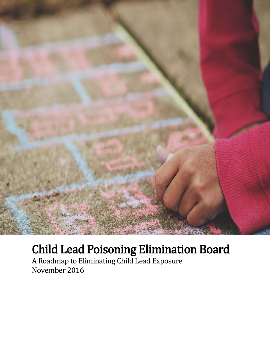

# Child Lead Poisoning Elimination Board A Roadmap to Eliminating Child Lead Exposure

November 2016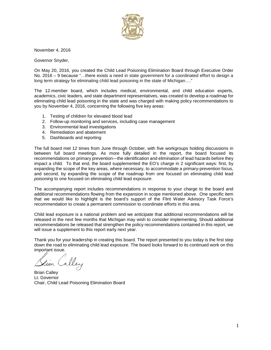

November 4, 2016

Governor Snyder,

On May 20, 2016, you created the Child Lead Poisoning Elimination Board through Executive Order No. 2016 – 9 because "…there exists a need in state government for a coordinated effort to design a long term strategy for eliminating child lead poisoning in the state of Michigan...."

The 12-member board, which includes medical, environmental, and child education experts, academics, civic leaders, and state department representatives, was created to develop a roadmap for eliminating child lead poisoning in the state and was charged with making policy recommendations to you by November 4, 2016, concerning the following five key areas:

- 1. Testing of children for elevated blood lead
- 2. Follow-up monitoring and services, including case management
- 3. Environmental lead investigations
- 4. Remediation and abatement
- 5. Dashboards and reporting

The full board met 12 times from June through October, with five workgroups holding discussions in between full board meetings. As more fully detailed in the report, the board focused its recommendations on primary prevention—the identification and elimination of lead hazards before they impact a child. To that end, the board supplemented the EO's charge in 2 significant ways: first, by expanding the scope of the key areas, where necessary, to accommodate a primary-prevention focus, and second, by expanding the scope of the roadmap from one focused on eliminating child lead *poisoning* to one focused on eliminating child lead *exposure*.

The accompanying report includes recommendations in response to your charge to the board and additional recommendations flowing from the expansion in scope mentioned above. One specific item that we would like to highlight is the board's support of the Flint Water Advisory Task Force's recommendation to create a permanent commission to coordinate efforts in this area.

Child lead exposure is a national problem and we anticipate that additional recommendations will be released in the next few months that Michigan may wish to consider implementing. Should additional recommendations be released that strengthen the policy recommendations contained in this report, we will issue a supplement to this report early next year.

Thank you for your leadership in creating this board. The report presented to you today is the first step down the road to eliminating child lead exposure. The board looks forward to its continued work on this important issue.

Brian Calley Lt. Governor Chair, Child Lead Poisoning Elimination Board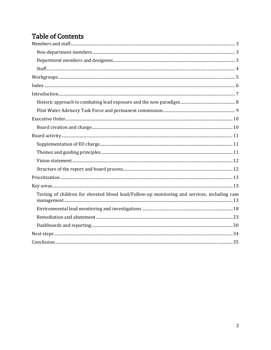# **Table of Contents**

<span id="page-2-3"></span><span id="page-2-2"></span><span id="page-2-1"></span><span id="page-2-0"></span>

| Testing of children for elevated blood lead/Follow-up monitoring and services, including case |
|-----------------------------------------------------------------------------------------------|
|                                                                                               |
|                                                                                               |
|                                                                                               |
|                                                                                               |
|                                                                                               |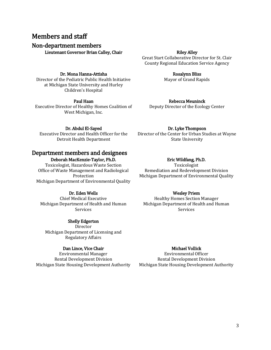# <span id="page-3-0"></span>Members and staff

<span id="page-3-1"></span>Non-department members

Lieutenant Governor Brian Calley, Chair

#### Riley Alley

Great Start Collaborative Director for St. Clair County Regional Education Service Agency

> Rosalynn Bliss Mayor of Grand Rapids

#### Dr. Mona Hanna-Attisha

Director of the Pediatric Public Health Initiative at Michigan State University and Hurley Children's Hospital

#### Paul Haan

Executive Director of Healthy Homes Coalition of West Michigan, Inc.

Dr. Abdul El-Sayed Executive Director and Health Officer for the Detroit Health Department

Rebecca Meuninck Deputy Director of the Ecology Center

Dr. Lyke Thompson Director of the Center for Urban Studies at Wayne State University

### <span id="page-3-2"></span>Department members and designees

Deborah MacKenzie-Taylor, Ph.D.

<span id="page-3-3"></span>Toxicologist, Hazardous Waste Section Office of Waste Management and Radiological Protection Michigan Department of Environmental Quality

#### Dr. Eden Wells

<span id="page-3-4"></span>Chief Medical Executive Michigan Department of Health and Human Services

#### Shelly Edgerton

Director Michigan Department of Licensing and Regulatory Affairs

#### Dan Lince, Vice Chair

Environmental Manager Rental Development Division Michigan State Housing Development Authority

#### Eric Wildfang, Ph.D.

Toxicologist Remediation and Redevelopment Division Michigan Department of Environmental Quality

#### Wesley Priem

Healthy Homes Section Manager Michigan Department of Health and Human Services

#### Michael Vollick

Environmental Officer Rental Development Division Michigan State Housing Development Authority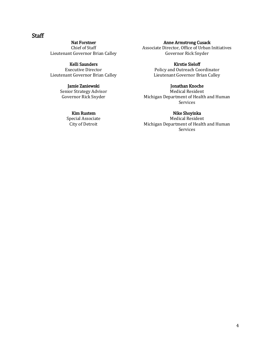### <span id="page-4-0"></span>**Staff**

Nat Forstner Chief of Staff Lieutenant Governor Brian Calley

#### Kelli Saunders

Executive Director Lieutenant Governor Brian Calley

#### Jamie Zaniewski

Senior Strategy Advisor Governor Rick Snyder

#### Kim Rustem

<span id="page-4-3"></span><span id="page-4-2"></span><span id="page-4-1"></span>Special Associate City of Detroit

#### Anne Armstrong Cusack

Associate Director, Office of Urban Initiatives Governor Rick Snyder

#### Kirstie Sieloff

Policy and Outreach Coordinator Lieutenant Governor Brian Calley

#### Jonathan Knoche

Medical Resident Michigan Department of Health and Human Services

#### Nike Shoyinka

Medical Resident Michigan Department of Health and Human Services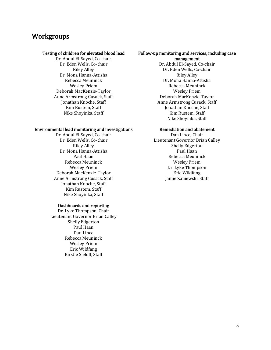# <span id="page-5-0"></span>**Workgroups**

#### Testing of children for elevated blood lead

Dr. Abdul El-Sayed, Co-chair Dr. Eden Wells, Co-chair Riley Alley Dr. Mona Hanna-Attisha Rebecca Meuninck Wesley Priem Deborah MacKenzie-Taylor Anne Armstrong Cusack, Staff Jonathan Knoche, Staff Kim Rustem, Staff Nike Shoyinka, Staff

#### Environmental lead monitoring and investigations

Dr. Abdul El-Sayed, Co-chair Dr. Eden Wells, Co-chair Riley Alley Dr. Mona Hanna-Attisha Paul Haan Rebecca Meuninck Wesley Priem Deborah MacKenzie-Taylor Anne Armstrong Cusack, Staff Jonathan Knoche, Staff Kim Rustem, Staff Nike Shoyinka, Staff

#### Dashboards and reporting

<span id="page-5-1"></span>Dr. Lyke Thompson, Chair Lieutenant Governor Brian Calley Shelly Edgerton Paul Haan Dan Lince Rebecca Meuninck Wesley Priem Eric Wildfang Kirstie Sieloff, Staff

#### Follow-up monitoring and services, including case management

Dr. Abdul El-Sayed, Co-chair Dr. Eden Wells, Co-chair Riley Alley Dr. Mona Hanna-Attisha Rebecca Meuninck Wesley Priem Deborah MacKenzie-Taylor Anne Armstrong Cusack, Staff Jonathan Knoche, Staff Kim Rustem, Staff Nike Shoyinka, Staff

#### Remediation and abatement

Dan Lince, Chair Lieutenant Governor Brian Calley Shelly Edgerton Paul Haan Rebecca Meuninck Wesley Priem Dr. Lyke Thompson Eric Wildfang Jamie Zaniewski, Staff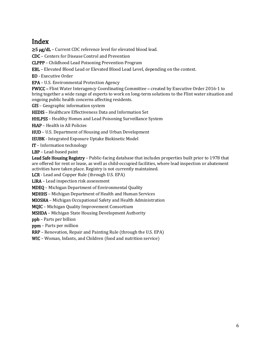# <span id="page-6-0"></span>Index

≥5 μg/dL – Current CDC reference level for elevated blood lead.

CDC – Centers for Disease Control and Prevention

CLPPP – Childhood Lead Poisoning Prevention Program

EBL – Elevated Blood Lead or Elevated Blood Lead Level, depending on the context.

EO - Executive Order

EPA – U.S. Environmental Protection Agency

FWICC – Flint Water Interagency Coordinating Committee – created by Executive Order 2016-1 to bring together a wide range of experts to work on long-term solutions to the Flint water situation and ongoing public health concerns affecting residents.

GIS – Geographic information system

HEDIS – Healthcare Effectiveness Data and Information Set

HHLPSS – Healthy Homes and Lead Poisoning Surveillance System

HiAP – Health in All Policies

HUD – U.S. Department of Housing and Urban Development

IEUBK - Integrated Exposure Uptake Biokinetic Model

IT – Information technology

LBP – Lead-based paint

Lead Safe Housing Registry - Public-facing database that includes properties built prior to 1978 that are offered for rent or lease, as well as child-occupied facilities, where lead inspection or abatement activities have taken place. Registry is not currently maintained.

LCR - Lead and Copper Rule (through U.S. EPA)

LIRA – Lead inspection risk assessment

MDEQ – Michigan Department of Environmental Quality

MDHHS – Michigan Department of Health and Human Services

MIOSHA – Michigan Occupational Safety and Health Administration

MQIC – Michigan Quality Improvement Consortium

MSHDA – Michigan State Housing Development Authority

ppb – Parts per billion

ppm – Parts per million

RRP – Renovation, Repair and Painting Rule (through the U.S. EPA)

WIC – Woman, Infants, and Children (food and nutrition service)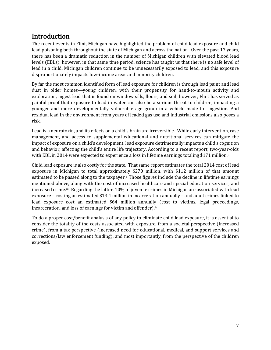<span id="page-7-0"></span>Introduction<br>The recent events in Flint, Michigan have highlighted the problem of child lead exposure and child lead poisoning both throughout the state of Michigan and across the nation. Over the past 17 years, there has been a dramatic reduction in the number of Michigan children with elevated blood lead levels (EBLs); however, in that same time period, science has taught us that there is no safe level of lead in a child. Michigan children continue to be unnecessarily exposed to lead, and this exposure disproportionately impacts low-income areas and minority children.

By far the most common identified form of lead exposure for children is through lead paint and lead dust in older homes—young children, with their propensity for hand-to-mouth activity and exploration, ingest lead that is found on window sills, floors, and soil; however, Flint has served as painful proof that exposure to lead in water can also be a serious threat to children, impacting a younger and more developmentally vulnerable age group in a vehicle made for ingestion. And residual lead in the environment from years of leaded gas use and industrial emissions also poses a risk.

Lead is a neurotoxin, and its effects on a child's brain are irreversible. While early intervention, case management, and access to supplemental educational and nutritional services can mitigate the impact of exposure on a child's development, lead exposure detrimentally impacts a child's cognition and behavior, affecting the child's entire life trajectory. According to a recent report, two-year[-](#page-2-0)olds with EBL in 2014 were expected to experience a loss in lifetime earnings totaling \$171 million.<sup>i</sup>

Child lead exposure is also costly for the state. That same report estimates the total 2014 cost of lead exposure in Michigan to total approximat[el](#page-2-1)y \$270 million, with \$112 million of that amount estimated to be passed along to the taxpayer.<sup>ii</sup> Those figures include the decline in lifetime earnings mentioned above, along with the cost of increased healthcare and special education services, and increased crime.<sup>iii</sup> Regarding the latter, 10% of juvenile crimes in Michigan are associated with lead exposure – costing an estimated \$13.4 million in incarceration annually – and adult crimes linked to lead exposure cost an estimated \$64 million annuall[y](#page-2-3) (cost to victims, legal proceedings, incarceration, and loss of earnings for victim and offender).iv

To do a proper cost/benefit analysis of any policy to eliminate child lead exposure, it is essential to consider the totality of the costs associated with exposure, from a societal perspective (increased crime), from a tax perspective (increased need for educational, medical, and support services and corrections/law enforcement funding), and most importantly, from the perspective of the children exposed.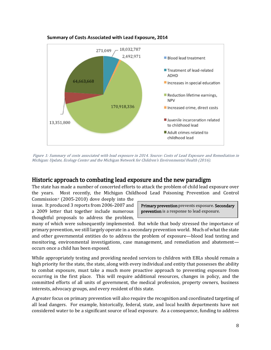

#### Summary of Costs Associated with Lead Exposure, 2014

Figure 1: Summary of costs associated with lead exposure in 2014. Source: Costs of Lead Exposure and Remediation in Michigan: Update, Ecology Center and the Michigan Network for Children's Environmental Health (2016).

### <span id="page-8-0"></span>Historic approach to combating lead exposure and the new paradigm

The state has made a number of concerted efforts to attack the problem of child lead exposure over the years. Most recently, the Michigan Childhood Lead Poisoning Prevention and Control

Commission<sup>v</sup> (2005-2010) dove deeply into the issue. It produced 3 reports from 2006-2007 and a 2009 letter that together include numerous thoughtful proposals to address the problem,

Primary prevention prevents exposure. Secondary prevention is a response to lead exposure.

many of which were subsequently implemented. But while that body stressed the importance of primary prevention, we still largely operate in a secondary prevention world. Much of what the state and other governmental entities do to address the problem of exposure—blood lead testing and monitoring, environmental investigations, case management, and remediation and abatement occurs once a child has been exposed.

While appropriately testing and providing needed services to children with EBLs should remain a high priority for the state, the state, along with every individual and entity that possesses the ability to combat exposure, must take a much more proactive approach to preventing exposure from occurring in the first place. This will require additional resources, changes in policy, and the committed efforts of all units of government, the medical profession, property owners, business interests, advocacy groups, and every resident of this state.

A greater focus on primary prevention will also require the recognition and coordinated targeting of all lead dangers. For example, historically, federal, state, and local health departments have not considered water to be a significant source of lead exposure. As a consequence, funding to address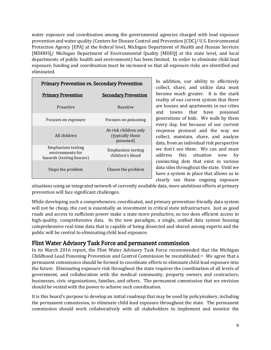water exposure and coordination among the governmental agencies charged with lead exposure prevention and water quality (Centers for Disease Control and Prevention [CDC]/ U.S. Environmental Protection Agency [EPA] at the federal level, Michigan Department of Health and Human Services [MDHHS]/ Michigan Department of Environmental Quality [MDEQ] at the state level, and local departments of public health and environment) has been limited. In order to eliminate child lead exposure, funding and coordination must be increased so that all exposure risks are identified and eliminated.

| <b>Primary Prevention vs. Secondary Prevention</b>                        |                                                         |
|---------------------------------------------------------------------------|---------------------------------------------------------|
| <b>Primary Prevention</b>                                                 | <b>Secondary Prevention</b>                             |
| Proactive                                                                 | Reactive                                                |
| Focuses on exposure                                                       | Focuses on poisoning                                    |
| All children                                                              | At-risk children only<br>(typically those)<br>poisoned) |
| <b>Emphasizes testing</b><br>environments for<br>hazards (testing houses) | <b>Emphasizes testing</b><br>children's blood           |
| Stops the problem                                                         | Chases the problem                                      |

In addition, our ability to effectively collect, share, and utilize data must become much greater. It is the stark reality of our current system that there are houses and apartments in our cities and towns that have poisoned generations of kids. We walk by them every day, but because of our current response protocol and the way we collect, maintain, share, and analyze data, from an individual risk perspective we don't see them. We can and must address this situation now by connecting dots that exist in various data silos throughout the state. Until we have a system in place that allows us to clearly see these ongoing exposure

situations using an integrated network of currently available data, more ambitious efforts at primary prevention will face significant challenges.

While developing such a comprehensive, coordinated, and primary prevention-friendly data system will not be cheap, the cost is essentially an investment in critical state infrastructure. Just as good roads and access to sufficient power make a state more productive, so too does efficient access to high-quality, comprehensive data. In the new paradigm, a single, unified data system housing comprehensive real-time data that is capable of being dissected and shared among experts and the public will be central to eliminating child lead exposure.

### <span id="page-9-0"></span>Flint Water Advisory Task Force and permanent commission

In its March 2016 report, the Flint Water Advisory Task Force recommended that the Michigan Childhood Lead Poisoning Prevention and Control Commission be reestablished.<sup>[vi](#page-3-4)</sup> We agree that a permanent commission should be formed to coordinate efforts to eliminate child lead exposure into the future. Eliminating exposure risk throughout the state requires the coordination of all levels of government, and collaboration with the medical community, property owners and contractors, businesses, civic organizations, families, and others. The permanent commission that we envision should be vested with the power to achieve such coordination.

It is this board's purpose to develop an initial roadmap that may be used by policymakers, including the permanent commission, to eliminate child lead exposure throughout the state. The permanent commission should work collaboratively with all stakeholders to implement and monitor the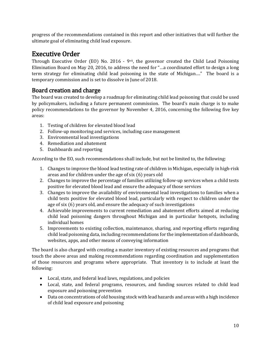progress of the recommendations contained in this report and other initiatives that will further the ultimate goal of eliminating child lead exposure.

<span id="page-10-0"></span>**Executive Order**<br>Through Executive Order (EO) No. 2016 - 9<sup>vii</sup>, the governor created the Child Lead Poisoning Elimination Board on May 20, 2016, to address the need for "…a coordinated effort to design a long term strategy for eliminating child lead poisoning in the state of Michigan…." The board is a temporary commission and is set to dissolve in June of 2018.

# <span id="page-10-1"></span>Board creation and charge

The board was created to develop a roadmap for eliminating child lead poisoning that could be used by policymakers, including a future permanent commission. The board's main charge is to make policy recommendations to the governor by November 4, 2016, concerning the following five key areas:

- 1. Testing of children for elevated blood lead
- 2. Follow-up monitoring and services, including case management
- 3. Environmental lead investigations
- 4. Remediation and abatement
- 5. Dashboards and reporting

According to the EO, such recommendations shall include, but not be limited to, the following:

- 1. Changes to improve the blood lead testing rate of children in Michigan, especially in high-risk areas and for children under the age of six (6) years old
- 2. Changes to improve the percentage of families utilizing follow-up services when a child tests positive for elevated blood lead and ensure the adequacy of those services
- 3. Changes to improve the availability of environmental lead investigations to families when a child tests positive for elevated blood lead, particularly with respect to children under the age of six (6) years old, and ensure the adequacy of such investigations
- 4. Achievable improvements to current remediation and abatement efforts aimed at reducing child lead poisoning dangers throughout Michigan and in particular hotspots, including individual homes
- 5. Improvements to existing collection, maintenance, sharing, and reporting efforts regarding child lead poisoning data, including recommendations for the implementation of dashboards, websites, apps, and other means of conveying information

The board is also charged with creating a master inventory of existing resources and programs that touch the above areas and making recommendations regarding coordination and supplementation of those resources and programs where appropriate. That inventory is to include at least the following:

- Local, state, and federal lead laws, regulations, and policies
- Local, state, and federal programs, resources, and funding sources related to child lead exposure and poisoning prevention
- Data on concentrations of old housing stock with lead hazards and areas with a high incidence of child lead exposure and poisoning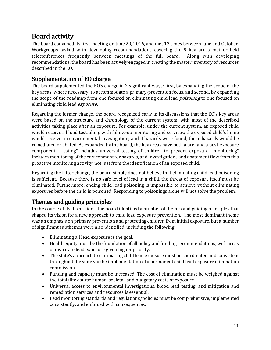<span id="page-11-0"></span>**Board activity**<br>The board convened its first meeting on June 20, 2016, and met 12 times between June and October. Workgroups tasked with developing recommendations covering the 5 key areas met or held teleconferences frequently between meetings of the full board. Along with developing recommendations, the board has been actively engaged in creating the master inventory of resources described in the EO.

# <span id="page-11-1"></span>Supplementation of EO charge

The board supplemented the EO's charge in 2 significant ways: first, by expanding the scope of the key areas, where necessary, to accommodate a primary-prevention focus, and second, by expanding the scope of the roadmap from one focused on eliminating child lead *poisoning* to one focused on eliminating child lead exposure.

Regarding the former change, the board recognized early in its discussions that the EO's key areas were based on the structure and chronology of the current system, with most of the described activities taking place after an exposure. For example, under the current system, an exposed child would receive a blood test, along with follow-up monitoring and services; the exposed child's home would receive an environmental investigation; and if hazards were found, those hazards would be remediated or abated. As expanded by the board, the key areas have both a pre- and a post-exposure component. "Testing" includes universal testing of children to prevent exposure, "monitoring" includes monitoring of the environment for hazards, and investigations and abatement flow from this proactive monitoring activity, not just from the identification of an exposed child.

Regarding the latter change, the board simply does not believe that eliminating child lead poisoning is sufficient. Because there is no safe level of lead in a child, the threat of exposure itself must be eliminated. Furthermore, ending child lead poisoning is impossible to achieve without eliminating exposures before the child is poisoned. Responding to poisonings alone will not solve the problem.

# <span id="page-11-2"></span>Themes and guiding principles

In the course of its discussions, the board identified a number of themes and guiding principles that shaped its vision for a new approach to child lead exposure prevention. The most dominant theme was an emphasis on primary prevention and protecting children from initial exposure, but a number of significant subthemes were also identified, including the following:

- Eliminating all lead exposure is the goal.
- Health equity must be the foundation of all policy and funding recommendations, with areas of disparate lead exposure given higher priority.
- The state's approach to eliminating child lead exposure must be coordinated and consistent throughout the state via the implementation of a permanent child lead exposure elimination commission.
- Funding and capacity must be increased. The cost of elimination must be weighed against the total/life course human, societal, and budgetary costs of exposure.
- Universal access to environmental investigations, blood lead testing, and mitigation and remediation services and resources is essential.
- Lead monitoring standards and regulations/policies must be comprehensive, implemented consistently, and enforced with consequences.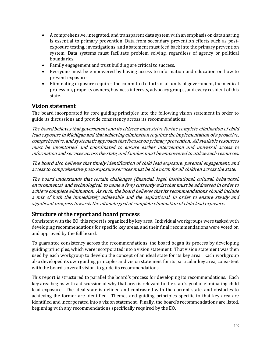- A comprehensive, integrated, and transparent data system with an emphasis on data sharing is essential to primary prevention. Data from secondary prevention efforts such as postexposure testing, investigations, and abatement must feed back into the primary prevention system. Data systems must facilitate problem solving, regardless of agency or political boundaries.
- Family engagement and trust building are critical to success.
- Everyone must be empowered by having access to information and education on how to prevent exposure.
- Eliminating exposure requires the committed efforts of all units of government, the medical profession, property owners, business interests, advocacy groups, and every resident of this state.

### <span id="page-12-0"></span>Vision statement

The board incorporated its core guiding principles into the following vision statement in order to guide its discussions and provide consistency across its recommendations:

The board believes that government and its citizens must strive for the complete elimination of child lead exposure in Michigan and that achieving elimination requires the implementation of a proactive, comprehensive, and systematic approach that focuses on primary prevention. All available resources must be inventoried and coordinated to ensure earlier intervention and universal access to information and services across the state, and families must be empowered to utilize such resources.

The board also believes that timely identification of child lead exposure, parental engagement, and access to comprehensive post-exposure services must be the norm for all children across the state.

The board understands that certain challenges (financial, legal, institutional, cultural, behavioral, environmental, and technological, to name a few) currently exist that must be addressed in order to achieve complete elimination. As such, the board believes that its recommendations should include a mix of both the immediately achievable and the aspirational, in order to ensure steady and significant progress towards the ultimate goal of complete elimination of child lead exposure.

### <span id="page-12-1"></span>Structure of the report and board process

Consistent with the EO, this report is organized by key area. Individual workgroups were tasked with developing recommendations for specific key areas, and their final recommendations were voted on and approved by the full board.

To guarantee consistency across the recommendations, the board began its process by developing guiding principles, which were incorporated into a vision statement. That vision statement was then used by each workgroup to develop the concept of an ideal state for its key area. Each workgroup also developed its own guiding principles and vision statement for its particular key area, consistent with the board's overall vision, to guide its recommendations.

This report is structured to parallel the board's process for developing its recommendations. Each key area begins with a discussion of why that area is relevant to the state's goal of eliminating child lead exposure. The ideal state is defined and contrasted with the current state, and obstacles to achieving the former are identified. Themes and guiding principles specific to that key area are identified and incorporated into a vision statement. Finally, the board's recommendations are listed, beginning with any recommendations specifically required by the EO.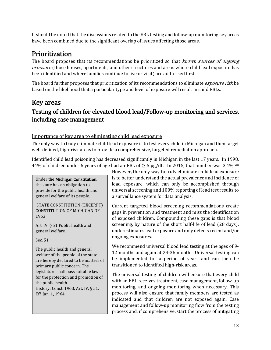It should be noted that the discussions related to the EBL testing and follow-up monitoring key areas have been combined due to the significant overlap of issues affecting those areas.

<span id="page-13-0"></span>**Prioritization**<br>The board proposes that its recommendations be prioritized so that *known sources of ongoing* exposure (those houses, apartments, and other structures and areas where child lead exposure has been identified and where families continue to live or visit) are addressed first.

The board further proposes that prioritization of its recommendations to eliminate *exposure risk* be based on the likelihood that a particular type and level of exposure will result in child EBLs.

# <span id="page-13-1"></span>Key areas

# <span id="page-13-2"></span>Testing of children for elevated blood lead/Follow-up monitoring and services, including case management

#### Importance of key area to eliminating child lead exposure

The only way to truly eliminate child lead exposure is to test every child in Michigan and then target well-defined, high-risk areas to provide a comprehensive, targeted remediation approach.

Identified child lead poisoning has decreased significantly in Michigan in the last 17 years. In 1998, 44% of children under 6 years of age had an EBL of  $\geq$  5 µg/dL. In 2015, that number was 3.4%.

#### Under the Michigan Constitution,

the state has an obligation to provide for the public health and general welfare of its people.

STATE CONSTITUTION (EXCERPT) CONSTITUTION OF MICHIGAN OF 1963

Art. IV, § 51 Public health and general welfare.

Sec. 51.

The public health and general welfare of the people of the state are hereby declared to be matters of primary public concern. The legislature shall pass suitable laws for the protection and promotion of the public health. History: Const. 1963, Art. IV, § 51, Eff. Jan. 1, 1964

However, the only way to truly eliminate child lead exposure is to better understand the actual prevalence and incidence of lead exposure, which can only be accomplished through universal screening and 100% reporting of lead test results to a surveillance system for data analysis.

Current targeted blood screening recommendations create gaps in prevention and treatment and miss the identification of exposed children. Compounding these gaps is that blood screening, by nature of the short half-life of lead (28 days), underestimates lead exposure and only detects recent and/or ongoing exposures.

We recommend universal blood lead testing at the ages of 9- 12 months and again at 24-36 months. Universal testing can be implemented for a period of years and can then be transitioned to identified high-risk areas.

The universal testing of children will ensure that every child with an EBL receives treatment, case management, follow-up monitoring, and ongoing monitoring when necessary. This process will also ensure that family members are tested as indicated and that children are not exposed again. Case management and follow-up monitoring flow from the testing process and, if comprehensive, start the process of mitigating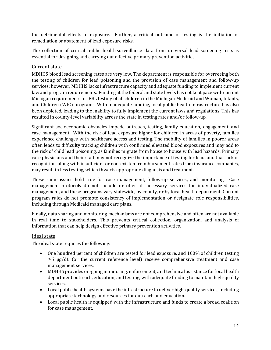the detrimental effects of exposure. Further, a critical outcome of testing is the initiation of remediation or abatement of lead exposure risks.

The collection of critical public health surveillance data from universal lead screening tests is essential for designing and carrying out effective primary prevention activities.

#### Current state

MDHHS blood lead screening rates are very low. The department is responsible for overseeing both the testing of children for lead poisoning and the provision of case management and follow-up services; however, MDHHS lacks infrastructure capacity and adequate funding to implement current law and program requirements. Funding at the federal and state levels has not kept pace with current Michigan requirements for EBL testing of all children in the Michigan Medicaid and Woman, Infants, and Children (WIC) programs. With inadequate funding, local public health infrastructure has also been depleted, leading to the inability to fully implement the current laws and regulations. This has resulted in county-level variability across the state in testing rates and/or follow-up.

Significant socioeconomic obstacles impede outreach, testing, family education, engagement, and case management. With the risk of lead exposure higher for children in areas of poverty, families experience challenges with healthcare access and testing. The mobility of families in poorer areas often leads to difficulty tracking children with confirmed elevated blood exposures and may add to the risk of child lead poisoning, as families migrate from house to house with lead hazards. Primary care physicians and their staff may not recognize the importance of testing for lead, and that lack of recognition, along with insufficient or non-existent reimbursement rates from insurance companies, may result in less testing, which thwarts appropriate diagnosis and treatment.

These same issues hold true for case management, follow-up services, and monitoring. Case management protocols do not include or offer all necessary services for individualized case management, and these programs vary statewide, by county, or by local health department. Current program rules do not promote consistency of implementation or designate role responsibilities, including through Medicaid managed care plans.

Finally, data sharing and monitoring mechanisms are not comprehensive and often are not available in real time to stakeholders. This prevents critical collection, organization, and analysis of information that can help design effective primary prevention activities.

#### Ideal state

The ideal state requires the following:

- One hundred percent of children are tested for lead exposure, and 100% of children testing  $\geq$ 5 μg/dL (or the current reference level) receive comprehensive treatment and case management services.
- MDHHS provides on-going monitoring, enforcement, and technical assistance for local health department outreach, education, and testing, with adequate funding to maintain high-quality services.
- Local public health systems have the infrastructure to deliver high-quality services, including appropriate technology and resources for outreach and education.
- Local public health is equipped with the infrastructure and funds to create a broad coalition for case management.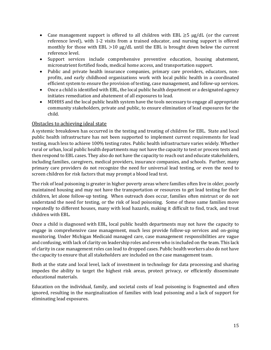- Case management support is offered to all children with EBL  $\geq$ 5 μg/dL (or the current reference level), with 1-2 visits from a trained educator, and nursing support is offered monthly for those with EBL  $>10 \mu g/dL$  until the EBL is brought down below the current reference level.
- Support services include comprehensive preventive education, housing abatement, micronutrient fortified foods, medical home access, and transportation support.
- Public and private health insurance companies, primary care providers, educators, nonprofits, and early childhood organizations work with local public health in a coordinated efficient system to ensure the provision of testing, case management, and follow-up services.
- Once a child is identified with EBL, the local public health department or a designated agency initiates remediation and abatement of all exposures to lead.
- MDHHS and the local public health system have the tools necessary to engage all appropriate community stakeholders, private and public, to ensure elimination of lead exposures for the child.

#### Obstacles to achieving ideal state

A systemic breakdown has occurred in the testing and treating of children for EBL. State and local public health infrastructure has not been supported to implement current requirements for lead testing, much less to achieve 100% testing rates. Public health infrastructure varies widely. Whether rural or urban, local public health departments may not have the capacity to test or process tests and then respond to EBL cases. They also do not have the capacity to reach out and educate stakeholders, including families, caregivers, medical providers, insurance companies, and schools. Further, many primary care providers do not recognize the need for universal lead testing, or even the need to screen children for risk factors that may prompt a blood lead test.

The risk of lead poisoning is greater in higher poverty areas where families often live in older, poorly maintained housing and may not have the transportation or resources to get lead testing for their children, let alone follow-up testing. When outreach does occur, families often mistrust or do not understand the need for testing, or the risk of lead poisoning. Some of these same families move repeatedly to different houses, many with lead hazards, making it difficult to find, track, and treat children with EBL.

Once a child is diagnosed with EBL, local public health departments may not have the capacity to engage in comprehensive case management, much less provide follow-up services and on-going monitoring. Under Michigan Medicaid managed care, case management responsibilities are vague and confusing, with lack of clarity on leadership roles and even who is included on the team. This lack of clarity in case management roles can lead to dropped cases. Public health workers also do not have the capacity to ensure that all stakeholders are included on the case management team.

Both at the state and local level, lack of investment in technology for data processing and sharing impedes the ability to target the highest risk areas, protect privacy, or efficiently disseminate educational materials.

Education on the individual, family, and societal costs of lead poisoning is fragmented and often ignored, resulting in the marginalization of families with lead poisoning and a lack of support for eliminating lead exposures.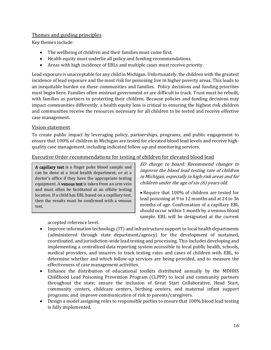#### Themes and guiding principles

Key themes include:

- The wellbeing of children and their families must come first.
- Health equity must underlie all policy and funding recommendations.
- Areas with high incidence of EBLs and multiple cases must receive priority.

Lead exposure is unacceptable for any child in Michigan. Unfortunately, the children with the greatest incidence of lead exposure and the most risk for poisoning live in higher poverty areas. This leads to an inequitable burden on these communities and families. Policy decisions and funding priorities must begin here. Families often mistrust government or are difficult to track. Trust must be rebuilt, with families as partners in protecting their children. Because policies and funding decisions may impact communities differently, a health equity lens is critical to ensuring the highest risk children and communities receive the resources necessary for all children to be tested and receive effective case management.

#### Vision statement

To create public impact by leveraging policy, partnerships, programs, and public engagement to ensure that 100% of children in Michigan are tested for elevated blood lead levels and receive highquality case management, including indicated follow-up and monitoring services.

#### Executive Order recommendations for testing of children for elevated blood lead

A capillary test is a finger poke blood sample and can be done at a local health department, or at a doctor's office if they have the appropriate testing equipment. A venous test is taken from an arm vein and must often be facilitated at an offsite testing location. If a child has EBL based on a capillary test, then the results must be confirmed with a venous test.

accepted reference level.

EO charge to board: Recommend changes to improve the blood lead testing rate of children in Michigan, especially in high-risk areas and for children under the age of six (6) years old.

• Require that 100% of children are tested for lead poisoning at 9 to 12 months and at 24 to 36 months of age. Confirmation of a capillary EBL should occur within 1 month by a venous blood sample. EBL will be designated at the current

- Improve information technology (IT) and infrastructure support to local health departments (administered through state department/agency) for the development of sustained, coordinated, and jurisdiction-wide lead testing and processing. This includes developing and implementing a centralized data reporting system accessible to local public health, schools, medical providers, and insurers to track testing rates and cases of children with EBL, to determine whether and which follow-up services are being provided, and to measure the effectiveness of case management activities.
- Enhance the distribution of educational toolkits distributed annually by the MDHHS Childhood Lead Poisoning Prevention Program (CLPPP) to local and community partners throughout the state; ensure the inclusion of Great Start Collaborative, Head Start, community centers, childcare centers, birthing centers, and maternal infant support programs; and improve communication of risk to parents/caregivers.
- Design a model assigning roles to responsible parties to ensure that 100% blood lead testing is fully implemented.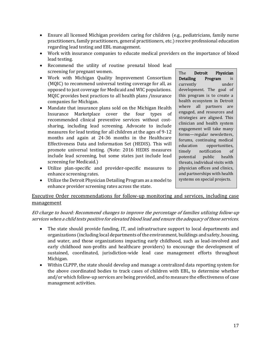- Ensure all licensed Michigan providers caring for children (e.g., pediatricians, family nurse practitioners, family practitioners, general practitioners, etc.) receive professional education regarding lead testing and EBL management.
- Work with insurance companies to educate medical providers on the importance of blood lead testing.
- Recommend the utility of routine prenatal blood lead screening for pregnant women.
- Work with Michigan Quality Improvement Consortium (MQIC) to recommend universal testing coverage for all, as opposed to just coverage for Medicaid and WIC populations. MQIC provides best practices to all health plans /insurance companies for Michigan.
- Mandate that insurance plans sold on the Michigan Health<br>Insurance Marketplace cover the four types of Marketplace cover the four types of recommended clinical preventive services without costsharing, including lead screening. Advocate to include measures for lead testing for all children at the ages of 9-12 months and again at 24-36 months in the Healthcare Effectiveness Data and Information Set (HEDIS). This will promote universal testing. (Note: 2016 HEDIS measures include lead screening, but some states just include lead screening for Medicaid.)
- Utilize plan-specific and provider-specific measures to enhance screening rates.
- Utilize the Detroit Physician Detailing Program as a model to enhance provider screening rates across the state.

The Detroit Physician<br>Detailing Program is **Detailing Program** is<br>currently under currently development. The goal of this program is to create a health ecosystem in Detroit where all partners are engaged, and resources and strategies are aligned. This clinician and health system engagement will take many forms—regular newsletters, forums, continuing medical<br>education opportunities, education opportunities,<br>timely notification of notification of<br>public health potential public health threats, individual visits with physician offices and clinics, and partnerships with health systems on special projects.

#### Executive Order recommendations for follow-up monitoring and services, including case management

#### EO charge to board: Recommend changes to improve the percentage of families utilizing follow-up services when a child tests positive for elevated blood lead and ensure the adequacy of those services.

- The state should provide funding, IT, and infrastructure support to local departments and organizations (including local departments of the environment, buildings and safety, housing, and water, and those organizations impacting early childhood, such as lead-involved and early childhood non-profits and healthcare providers) to encourage the development of sustained, coordinated, jurisdiction-wide lead case management efforts throughout Michigan.
- Within CLPPP, the state should develop and manage a centralized data reporting system for the above coordinated bodies to track cases of children with EBL, to determine whether and/or which follow-up services are being provided, and to measure the effectiveness of case management activities.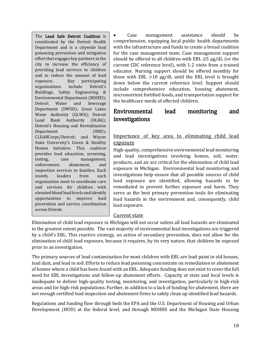The Lead Safe Detroit Coalition is coordinated by the Detroit Health Department and is a citywide lead poisoning prevention and mitigation effort that engages key partners in the city to increase the efficiency of providing lead services to children and to reduce the amount of lead exposure. Key participating<br>organizations include Detroit's organizations include Detroit's Buildings, Safety Engineering & Environmental Department (BSEED);<br>Detroit Water and Sewerage Sewerage Department (DWSD); Great Lakes Water Authority (GLWA); Detroit Land Bank Authority (DLBA); Detroit's Housing and Revitalization Department (HRD); CLEARCorps/Detroit; and Wayne State University's Green & Healthy Homes Initiative. This coalition provides lead education, screening,<br>testing. case management. testing, case management,<br>enforcement, abatement, and enforcement, abatement, and inspection services to families. Each month, leaders from each organization meet to coordinate care and services for children with elevated blood lead levels and identify<br>opportunities to improve lead opportunities to improve lead prevention and service coordination across Detroit.

• Case management assistance should be comprehensive, equipping local public health departments with the infrastructure and funds to create a broad coalition for the case management team. Case management support should be offered to all children with EBL  $\geq$ 5 μg/dL (or the current CDC reference level), with 1-2 visits from a trained educator. Nursing support should be offered monthly for those with EBL >10 µg/dL until the EBL level is brought down below the current reference level. Support should include comprehensive education, housing abatement, micronutrient fortified foods, and transportation support for the healthcare needs of affected children.

# <span id="page-18-0"></span>Environmental lead monitoring and investigations

#### Importance of key area to eliminating child lead exposure

High-quality, comprehensive environmental lead monitoring and lead investigations involving homes, soil, water, products, and air are critical for the elimination of child lead exposure in Michigan. Environmental lead monitoring and investigations help ensure that all possible sources of child lead exposure are identified, allowing hazards to be remediated to prevent further exposure and harm. They serve as the best primary prevention tools for eliminating lead hazards in the environment and, consequently, child lead exposure.

#### Current state

Elimination of child lead exposure in Michigan will not occur unless all lead hazards are eliminated to the greatest extent possible. The vast majority of environmental lead investigations are triggered by a child's EBL. This reactive strategy, an action of secondary prevention, does not allow for the elimination of child lead exposure, because it requires, by its very nature, that children be exposed prior to an investigation.

The primary sources of lead contamination for most children with EBL are lead paint in old houses, lead dust, and lead in soil. Efforts to reduce lead poisoning concentrate on remediation or abatement of homes where a child has been found with an EBL. Adequate funding does not exist to cover the full need for EBL investigations and follow-up abatement efforts. Capacity at state and local levels is inadequate to deliver high-quality testing, monitoring, and investigation, particularly in high-risk areas and for high-risk populations. Further, in addition to a lack of funding for abatement, there are not enough certified lead inspection and abatement firms to safely clean up identified lead hazards.

Regulations and funding flow through both the EPA and the U.S. Department of Housing and Urban Development (HUD) at the federal level, and through MDHHS and the Michigan State Housing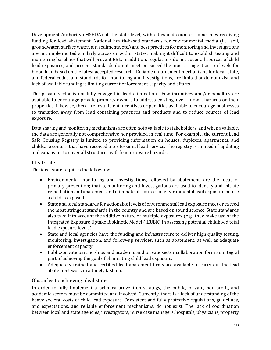Development Authority (MSHDA) at the state level, with cities and counties sometimes receiving funding for lead abatement. National health-based standards for environmental media (i.e., soil, groundwater, surface water, air, sediments, etc.) and best practices for monitoring and investigations are not implemented similarly across or within states, making it difficult to establish testing and monitoring baselines that will prevent EBL. In addition, regulations do not cover all sources of child lead exposures, and present standards do not meet or exceed the most stringent action levels for blood lead based on the latest accepted research. Reliable enforcement mechanisms for local, state, and federal codes, and standards for monitoring and investigations, are limited or do not exist, and lack of available funding is limiting current enforcement capacity and efforts.

The private sector is not fully engaged in lead elimination. Few incentives and/or penalties are available to encourage private property owners to address existing, even known, hazards on their properties. Likewise, there are insufficient incentives or penalties available to encourage businesses to transition away from lead containing practices and products and to reduce sources of lead exposure.

Data sharing and monitoring mechanisms are often not available to stakeholders, and when available, the data are generally not comprehensive nor provided in real time. For example, the current Lead Safe Housing Registry is limited to providing information on houses, duplexes, apartments, and childcare centers that have received a professional lead service. The registry is in need of updating and expansion to cover all structures with lead exposure hazards.

#### Ideal state

The ideal state requires the following:

- Environmental monitoring and investigations, followed by abatement, are the focus of primary prevention; that is, monitoring and investigations are used to identify and initiate remediation and abatement and eliminate all sources of environmental lead exposure before a child is exposed.
- State and local standards for actionable levels of environmental lead exposure meet or exceed the most stringent standards in the country and are based on sound science. State standards also take into account the additive nature of multiple exposures (e.g., they make use of the Integrated Exposure Uptake Biokinetic Model (IEUBK) in assessing potential childhood total lead exposure levels).
- State and local agencies have the funding and infrastructure to deliver high-quality testing, monitoring, investigation, and follow-up services, such as abatement, as well as adequate enforcement capacity.
- Public-private partnerships and academic and private sector collaboration form an integral part of achieving the goal of eliminating child lead exposure.
- Adequately trained and certified lead abatement firms are available to carry out the lead abatement work in a timely fashion.

#### Obstacles to achieving ideal state

In order to fully implement a primary prevention strategy, the public, private, non-profit, and academic sectors must be committed and involved. Currently, there is a lack of understanding of the heavy societal costs of child lead exposure. Consistent and fully protective regulations, guidelines, and expectations, and reliable enforcement mechanisms, do not exist. The lack of coordination between local and state agencies, investigators, nurse case managers, hospitals, physicians, property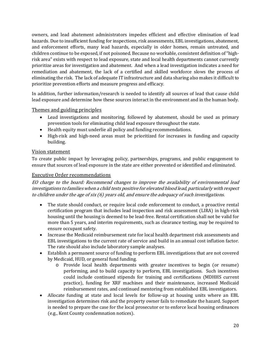owners, and lead abatement administrators impedes efficient and effective elimination of lead hazards. Due to insufficient funding for inspections, risk assessments, EBL investigations, abatement, and enforcement efforts, many lead hazards, especially in older homes, remain untreated, and children continue to be exposed, if not poisoned. Because no workable, consistent definition of "highrisk area" exists with respect to lead exposure, state and local health departments cannot currently prioritize areas for investigation and abatement. And when a lead investigation indicates a need for remediation and abatement, the lack of a certified and skilled workforce slows the process of eliminating the risk. The lack of adequate IT infrastructure and data sharing also makes it difficult to prioritize prevention efforts and measure progress and efficacy.

In addition, further information/research is needed to identify all sources of lead that cause child lead exposure and determine how these sources interact in the environment and in the human body.

#### Themes and guiding principles

- Lead investigations and monitoring, followed by abatement, should be used as primary prevention tools for eliminating child lead exposure throughout the state.
- Health equity must underlie all policy and funding recommendations.
- High-risk and high-need areas must be prioritized for increases in funding and capacity building.

#### Vision statement

To create public impact by leveraging policy, partnerships, programs, and public engagement to ensure that sources of lead exposure in the state are either prevented or identified and eliminated.

#### Executive Order recommendations

EO charge to the board: Recommend changes to improve the availability of environmental lead investigations to families when a child tests positive for elevated blood lead, particularly with respect to children under the age of six (6) years old, and ensure the adequacy of such investigations.

- The state should conduct, or require local code enforcement to conduct, a proactive rental certification program that includes lead inspection and risk assessment (LIRA) in high-risk housing until the housing is deemed to be lead-free. Rental certification shall not be valid for more than 5 years, and interim requirements, such as clearance testing, may be required to ensure occupant safety.
- Increase the Medicaid reimbursement rate for local health department risk assessments and EBL investigations to the current rate of service and build in an annual cost inflation factor. The rate should also include laboratory sample analyses.
- Establish a permanent source of funding to perform EBL investigations that are not covered by Medicaid, HUD, or general fund funding.<br>
o Provide local health denartments
	- Provide local health departments with greater incentives to begin (or resume) performing, and to build capacity to perform, EBL investigations. Such incentives could include continued stipends for training and certifications (MDHHS current practice), funding for XRF machines and their maintenance, increased Medicaid reimbursement rates, and continued mentoring from established EBL investigators.
- Allocate funding at state and local levels for follow-up at housing units where an EBL investigation determines risk and the property owner fails to remediate the hazard. Support is needed to prepare the case for the local prosecutor or to enforce local housing ordinances (e.g., Kent County condemnation notices).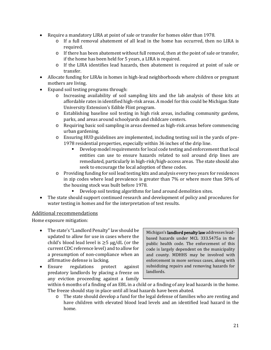- Require a mandatory LIRA at point of sale or transfer for homes older than 1978.
	- o If a full removal abatement of all lead in the home has occurred, then no LIRA is required.
	- $\circ$  If there has been abatement without full removal, then at the point of sale or transfer, if the home has been held for 5 years, a LIRA is required.
	- o If the LIRA identifies lead hazards, then abatement is required at point of sale or transfer.
- Allocate funding for LIRAs in homes in high-lead neighborhoods where children or pregnant mothers are living.
- Expand soil testing programs through:
	- o Increasing availability of soil sampling kits and the lab analysis of those kits at affordable rates in identified high-risk areas. A model for this could be Michigan State University Extension's Edible Flint program.
	- o Establishing baseline soil testing in high risk areas, including community gardens, parks, and areas around schoolyards and childcare centers.
	- o Requiring basic soil sampling in areas deemed as high-risk areas before commencing urban gardening.
	- o Ensuring HUD guidelines are implemented, including testing soil in the yards of pre-1978 residential properties, especially within 36 inches of the drip line.
		- Develop model requirements for local code testing and enforcement that local entities can use to ensure hazards related to soil around drip lines are remediated, particularly in high-risk/high-access areas. The state should also seek to encourage the local adoption of these codes.
	- o Providing funding for soil lead testing kits and analysis every two years for residences in zip codes where lead prevalence is greater than 7% or where more than 50% of the housing stock was built before 1978.
		- Develop soil testing algorithms for land around demolition sites.
- The state should support continued research and development of policy and procedures for water testing in homes and for the interpretation of test results.

#### Additional recommendations

Home exposure mitigation:

- The state's "Landlord Penalty" law should be updated to allow for use in cases where the child's blood lead level is  $\geq$ 5  $\mu$ g/dL (or the current CDC reference level) and to allow for a presumption of non-compliance when an affirmative defense is lacking.<br>Ensure regulations protect
- regulations protect against predatory landlords by placing a freeze on any eviction proceeding against a family

Michigan's landlord penalty law addresses leadbased hazards under MCL 333.5475a in the public health code. The enforcement of this code is largely dependent on the municipality and county. MDHHS may be involved with enforcement in more serious cases, along with subsidizing repairs and removing hazards for landlords.

within 6 months of a finding of an EBL in a child or a finding of any lead hazards in the home. The freeze should stay in place until all lead hazards have been abated.

o The state should develop a fund for the legal defense of families who are renting and have children with elevated blood lead levels and an identified lead hazard in the home.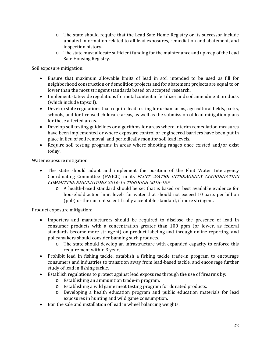- o The state should require that the Lead Safe Home Registry or its successor include updated information related to all lead exposures, remediation and abatement, and inspection history.
- o The state must allocate sufficient funding for the maintenance and upkeep of the Lead Safe Housing Registry.

Soil exposure mitigation:

- Ensure that maximum allowable limits of lead in soil intended to be used as fill for neighborhood construction or demolition projects and for abatement projects are equal to or lower than the most stringent standards based on accepted research.
- Implement statewide regulations for metal content in fertilizer and soil amendment products (which include topsoil).
- Develop state regulations that require lead testing for urban farms, agricultural fields, parks, schools, and for licensed childcare areas, as well as the submission of lead mitigation plans for these affected areas.
- Develop soil testing guidelines or algorithms for areas where interim remediation measures have been implemented or where exposure control or engineered barriers have been put in place in lieu of soil removal, and periodically monitor soil lead levels.
- Require soil testing programs in areas where shooting ranges once existed and/or exist today.

Water exposure mitigation:

- The state should adopt and implement the position of the Flint Water Interagency Coordinating Committee (FWICC) in its FLINT WATER INTERAGENCY COORDINATING COMMITTEE RESOLUTIONS 2016-15 THROUGH 2016-13.[ix](#page-4-3)
	- o A health-based standard should be set that is based on best available evidence for household action limit levels for water that should not exceed 10 parts per billion (ppb) or the current scientifically acceptable standard, if more stringent.

Product exposure mitigation:

- Importers and manufacturers should be required to disclose the presence of lead in consumer products with a concentration greater than 100 ppm (or lower, as federal standards become more stringent) on product labeling and through online reporting, and policymakers should consider banning such products.
	- o The state should develop an infrastructure with expanded capacity to enforce this requirement within 3 years.
- Prohibit lead in fishing tackle, establish a fishing tackle trade-in program to encourage consumers and industries to transition away from lead-based tackle, and encourage further study of lead in fishing tackle.
- Establish regulations to protect against lead exposures through the use of firearms by:
	- o Establishing an ammunition trade-in program.
	- o Establishing a wild game meat testing program for donated products.
	- o Developing a health education program and public education materials for lead exposures in hunting and wild game consumption.
- Ban the sale and installation of lead in wheel balancing weights.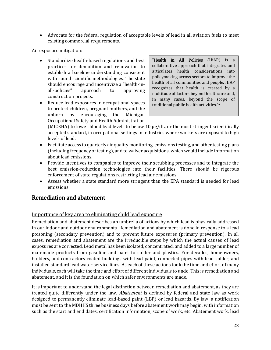• Advocate for the federal regulation of acceptable levels of lead in all aviation fuels to meet existing commercial requirements.

Air exposure mitigation:

- Standardize health-based regulations and best practices for demolition and renovation to establish a baseline understanding consistent with sound scientific methodologies. The state should encourage and incentivize a "health-in-<br>all-policies" approach to approving approving construction projects.
- Reduce lead exposures in occupational spaces to protect children, pregnant mothers, and the<br>unborn by encouraging the Michigan encouraging Occupational Safety and Health Administration

"**Health in All Policies** (HiAP) is collaborative approach that integrates and articulates health considerations into policymaking across sectors to improve the health of all communities and people. HiAP recognizes that health is created by a multitude of factors beyond healthcare and, in many cases, beyond the scope of traditional public health activities."a

(MIOSHA) to lower blood lead levels to below 10 µg/dL, or the most stringent scientifically accepted standard, in occupational settings in industries where workers are exposed to high levels of lead.

L

- Facilitate access to quarterly air quality monitoring, emissions testing, and other testing plans (including frequency of testing), and to waiver acquisitions, which would include information about lead emissions.
- Provide incentives to companies to improve their scrubbing processes and to integrate the best emission-reduction technologies into their facilities. There should be rigorous enforcement of state regulations restricting lead air emissions.
- Assess whether a state standard more stringent than the EPA standard is needed for lead emissions.

### <span id="page-23-0"></span>Remediation and abatement

#### Importance of key area to eliminating child lead exposure

Remediation and abatement describes an umbrella of actions by which lead is physically addressed in our indoor and outdoor environments. Remediation and abatement is done in response to a lead poisoning (secondary prevention) and to prevent future exposures (primary prevention). In all cases, remediation and abatement are the irreducible steps by which the actual causes of lead exposures are corrected. Lead metal has been isolated, concentrated, and added to a large number of man-made products from gasoline and paint to solder and plastics. For decades, homeowners, builders, and contractors coated buildings with lead paint, connected pipes with lead solder, and installed standard lead water service lines. As each of these actions took the time and effort of many individuals, each will take the time and effort of different individuals to undo. This is remediation and abatement, and it is the foundation on which safer environments are made.

It is important to understand the legal distinction between remediation and abatement, as they are treated quite differently under the law. *Abatement* is defined by federal and state law as work designed to permanently eliminate lead-based paint (LBP) or lead hazards. By law, a notification must be sent to the MDHHS three business days before abatement work may begin, with information such as the start and end dates, certification information, scope of work, etc. Abatement work, lead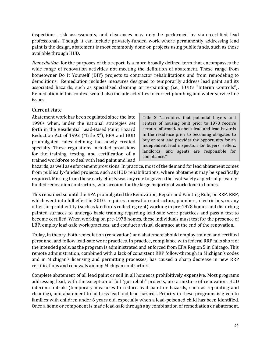inspections, risk assessments, and clearances may only be performed by state-certified lead professionals. Though it can include privately-funded work where permanently addressing lead paint is the design, abatement is most commonly done on projects using public funds, such as those available through HUD.

Remediation, for the purposes of this report, is a more broadly defined term that encompasses the wide range of renovation activities not meeting the definition of abatement. These range from homeowner Do It Yourself (DIY) projects to contractor rehabilitations and from remodeling to demolitions. Remediation includes measures designed to temporarily address lead paint and its associated hazards, such as specialized cleaning or re-painting (i.e., HUD's "Interim Controls"). Remediation in this context would also include activities to correct plumbing and water service line issues.

#### Current state

Abatement work has been regulated since the late 1990s when, under the national strategies set forth in the Residential Lead-Based Paint Hazard Reduction Act of 1992 ("Title X"), EPA and HUD promulgated rules defining the newly created specialty. These regulations included provisions for the training, testing, and certification of a trained workforce to deal with lead paint and lead

Title X "... requires that potential buyers and renters of housing built prior to 1978 receive certain information about lead and lead hazards in the residence prior to becoming obligated to buy or rent, and provides the opportunity for an independent lead inspection for buyers. Sellers, landlords, and agents are responsible for compliance."b

hazards, as well as enforcement provisions. In practice, most of the demand for lead abatement comes from publically-funded projects, such as HUD rehabilitations, where abatement may be specifically required. Missing from these early efforts was any rule to govern the lead-safety aspects of privatelyfunded renovation contractors, who account for the large majority of work done in homes.

This remained so until the EPA promulgated the Renovation, Repair and Painting Rule, or RRP. RRP, which went into full effect in 2010, requires renovation contractors, plumbers, electricians, or any other for-profit entity (such as landlords collecting rent) working in pre-1978 homes and disturbing painted surfaces to undergo basic training regarding lead-safe work practices and pass a test to become certified. When working on pre-1978 homes, these individuals must test for the presence of LBP, employ lead-safe work practices, and conduct a visual clearance at the end of the renovation.

Today, in theory, both remediation (renovation) and abatement should employ trained and certified personnel and follow lead-safe work practices. In practice, compliance with federal RRP falls short of the intended goals, as the program is administrated and enforced from EPA Region 5 in Chicago. This remote administration, combined with a lack of consistent RRP follow-through in Michigan's codes and in Michigan's licensing and permitting processes, has caused a sharp decrease in new RRP certifications and renewals among Michigan contractors.

Complete abatement of all lead paint or soil in all homes is prohibitively expensive. Most programs addressing lead, with the exception of full "gut rehab" projects, use a mixture of renovation, HUD interim controls (temporary measures to reduce lead paint or hazards, such as repainting and cleaning), and abatement to address lead and lead hazards. Priority in these programs is given to families with children under 6 years old, especially when a lead-poisoned child has been identified. Once a home or component is made lead-safe through any combination of remediation or abatement,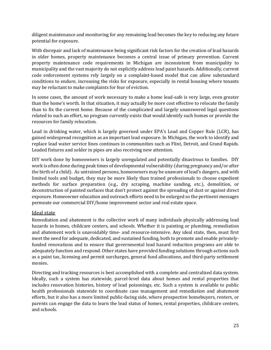diligent maintenance and monitoring for any remaining lead becomes the key to reducing any future potential for exposure.

With disrepair and lack of maintenance being significant risk factors for the creation of lead hazards in older homes, property maintenance becomes a central issue of primary prevention. Current property maintenance code requirements in Michigan are inconsistent from municipality to municipality and the vast majority do not explicitly address lead paint hazards. Additionally, current code enforcement systems rely largely on a complaint-based model that can allow substandard conditions to endure, increasing the risks for exposure, especially in rental housing where tenants may be reluctant to make complaints for fear of eviction.

In some cases, the amount of work necessary to make a home lead-safe is very large, even greater than the home's worth. In that situation, it may actually be more cost effective to relocate the family than to fix the current home. Because of the complicated and largely unanswered legal questions related to such an effort, no program currently exists that would identify such homes or provide the resources for family relocation.

Lead in drinking water, which is largely governed under EPA's Lead and Copper Rule (LCR), has gained widespread recognition as an important lead exposure. In Michigan, the work to identify and replace lead water service lines continues in communities such as Flint, Detroit, and Grand Rapids. Leaded fixtures and solder in pipes are also receiving new attention.

DIY work done by homeowners is largely unregulated and potentially disastrous to families. DIY work is often done during peak times of developmental vulnerability (during pregnancy and/or after the birth of a child). As untrained persons, homeowners may be unaware of lead's dangers, and with limited tools and budget, they may be more likely than trained professionals to choose expedient methods for surface preparation (e.g., dry scraping, machine sanding, etc.), demolition, or deconstruction of painted surfaces that don't protect against the spreading of dust or against direct exposure. Homeowner education and outreach efforts need to be enlarged so the pertinent messages permeate our commercial DIY/home improvement sector and real estate space.

#### Ideal state

Remediation and abatement is the collective work of many individuals physically addressing lead hazards in homes, childcare centers, and schools. Whether it is painting or plumbing, remediation and abatement work is unavoidably time- and resource-intensive. Any ideal state, then, must first meet the need for adequate, dedicated, and sustained funding, both to promote and enable privatelyfunded renovations and to ensure that governmental lead hazard reduction programs are able to adequately function and respond. Other states have provided funding solutions through actions such as a paint tax, licensing and permit surcharges, general fund allocations, and third-party settlement monies.

Directing and tracking resources is best accomplished with a complete and centralized data system. Ideally, such a system has statewide, parcel-level data about homes and rental properties that includes renovation histories, history of lead poisonings, etc. Such a system is available to public health professionals statewide to coordinate case management and remediation and abatement efforts, but it also has a more limited public-facing side, where prospective homebuyers, renters, or parents can engage the data to learn the lead status of homes, rental properties, childcare centers, and schools.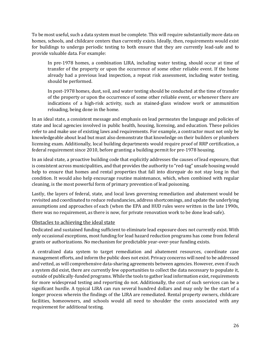To be most useful, such a data system must be complete. This will require substantially more data on homes, schools, and childcare centers than currently exists. Ideally, then, requirements would exist for buildings to undergo periodic testing to both ensure that they are currently lead-safe and to provide valuable data. For example:

In pre-1978 homes, a combination LIRA, including water testing, should occur at time of transfer of the property or upon the occurrence of some other reliable event. If the home already had a previous lead inspection, a repeat risk assessment, including water testing, should be performed.

In post-1978 homes, dust, soil, and water testing should be conducted at the time of transfer of the property or upon the occurrence of some other reliable event, or whenever there are indications of a high-risk activity, such as stained-glass window work or ammunition reloading, being done in the home.

In an ideal state, a consistent message and emphasis on lead permeates the language and policies of state and local agencies involved in public health, housing, licensing, and education. These policies refer to and make use of existing laws and requirements. For example, a contractor must not only be knowledgeable about lead but must also demonstrate that knowledge on their builders or plumbers licensing exam. Additionally, local building departments would require proof of RRP certification, a federal requirement since 2010, before granting a building permit for pre-1978 housing.

In an ideal state, a proactive building code that explicitly addresses the causes of lead exposure, that is consistent across municipalities, and that provides the authority to "red-tag" unsafe housing would help to ensure that homes and rental properties that fall into disrepair do not stay long in that condition. It would also help encourage routine maintenance, which, when combined with regular cleaning, is the most powerful form of primary prevention of lead poisoning.

Lastly, the layers of federal, state, and local laws governing remediation and abatement would be revisited and coordinated to reduce redundancies, address shortcomings, and update the underlying assumptions and approaches of each (when the EPA and HUD rules were written in the late 1990s, there was no requirement, as there is now, for private renovation work to be done lead-safe).

#### Obstacles to achieving the ideal state

Dedicated and sustained funding sufficient to eliminate lead exposure does not currently exist. With only occasional exceptions, most funding for lead hazard reduction programs has come from federal grants or authorizations. No mechanism for predictable year-over-year funding exists.

A centralized data system to target remediation and abatement resources, coordinate case management efforts, and inform the public does not exist. Privacy concerns will need to be addressed and vetted, as will comprehensive data-sharing agreements between agencies. However, even if such a system did exist, there are currently few opportunities to collect the data necessary to populate it, outside of publically-funded programs. While the tools to gather lead information exist, requirements for more widespread testing and reporting do not. Additionally, the cost of such services can be a significant hurdle. A typical LIRA can run several hundred dollars and may only be the start of a longer process wherein the findings of the LIRA are remediated. Rental property owners, childcare facilities, homeowners, and schools would all need to shoulder the costs associated with any requirement for additional testing.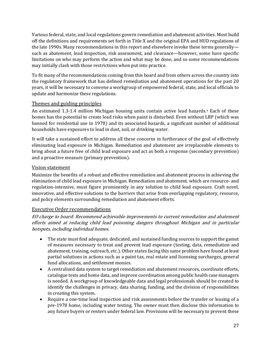Various federal, state, and local regulations govern remediation and abatement activities. Most build off the definitions and requirements set forth in Title X and the original EPA and HUD regulations of the late 1990s. Many recommendations in this report and elsewhere invoke these terms generally such as abatement, lead inspection, risk assessment, and clearance—however, some have specific limitations on who may perform the action and what may be done, and so some recommendations may initially clash with those restrictions when put into practice.

To fit many of the recommendations coming from this board and from others across the country into the regulatory framework that has defined remediation and abatement operations for the past 20 years, it will be necessary to convene a workgroup of empowered federal, state, and local officials to update and harmonize these regulations.

#### Themes and guiding principles

An estimated 1.3-1.4 million Michigan housing units contain active lead hazards.<sup>[x](#page-5-1)</sup> Each of these homes has the potential to create lead risks when paint is disturbed. Even without LBP (which was banned for residential use in 1978) and its associated hazards, a significant number of additional households have exposures to lead in dust, soil, or drinking water.

It will take a sustained effort to address all these concerns in furtherance of the goal of effectively eliminating lead exposure in Michigan. Remediation and abatement are irreplaceable elements to bring about a future free of child lead exposure and act as both a response (secondary prevention) and a proactive measure (primary prevention).

#### Vision statement

Maximize the benefits of a robust and effective remediation and abatement process in achieving the elimination of child lead exposure in Michigan. Remediation and abatement, which are resource- and regulation-intensive, must figure prominently in any solution to child lead exposure. Craft novel, innovative, and effective solutions to the barriers that arise from overlapping regulatory, resource, and policy elements surrounding remediation and abatement efforts.

#### Executive Order recommendations

EO charge to board: Recommend achievable improvements to current remediation and abatement efforts aimed at reducing child lead poisoning dangers throughout Michigan and in particular hotspots, including individual homes.

- The state must find adequate, dedicated, and sustained funding sources to support the gamut of measures necessary to treat and prevent lead exposure (testing, data, remediation and abatement, training, outreach, etc.). Other states facing this same problem have found at least partial solutions in actions such as a paint tax, real estate and licensing surcharges, general fund allocations, and settlement monies.
- A centralized data system to target remediation and abatement resources, coordinate efforts, catalogue tests and home data, and improve coordination among public health case managers is needed. A workgroup of knowledgeable data and legal professionals should be created to identify the challenges in privacy, data sharing, funding, and the division of responsibilities in creating this system.
- Require a one-time lead inspection and risk assessments before the transfer or leasing of a pre-1978 home, including water testing. The owner must then disclose this information to any future buyers or renters under federal law. Provisions will be necessary to prevent these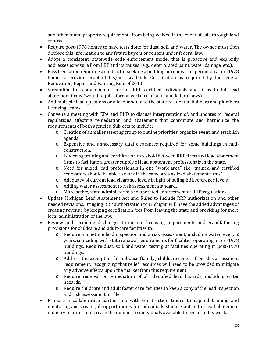and other rental property requirements from being waived in the event of sale through land contract.

- Require post-1978 homes to have tests done for dust, soil, and water. The owner must then disclose this information to any future buyers or renters under federal law.
- Adopt a consistent, statewide code enforcement model that is proactive and explicitly addresses exposure from LBP and its causes (e.g., deteriorated paint, water damage, etc.).
- Pass legislation requiring a contractor seeking a building or renovation permit on a pre-1978 home to provide proof of his/her Lead-Safe Certification as required by the federal Renovation, Repair and Painting Rule of 2010.
- Streamline the conversion of current RRP certified individuals and firms to full lead abatement firms (would require formal variance of state and federal laws).
- Add multiple lead questions or a lead module to the state residential builders and plumbers licensing exams.
- Convene a meeting with EPA and HUD to discuss interpretation of, and updates to, federal regulations affecting remediation and abatement that coordinate and harmonize the requirements of both agencies. Subjects to include:
	- o Creation of a smaller steering group to outline priorities, organize event, and establish agenda.
	- o Expensive and unnecessary dual clearances required for some buildings in midconstruction.
	- o Lowering training and certification threshold between RRP firms and lead abatement firms to facilitate a greater supply of lead abatement professionals in the state.
	- o Need for mixed lead professionals in one "work area" (i.e., trained and certified renovators should be able to work in the same area as lead abatement firms).
	- o Adequacy of current lead clearance levels in light of falling EBL reference levels.
	- o Adding water assessment to risk assessment standard.
	- o More active, state-administered and operated enforcement of HUD regulations.
- Update Michigan Lead Abatement Act and Rules to include RRP authorization and other needed revisions. Bringing RRP authorization to Michigan will have the added advantages of creating revenue by keeping certification fees from leaving the state and providing for more local administration of the law.
- Review and recommend changes to current licensing requirements and grandfathering provisions for childcare and adult-care facilities to:
	- o Require a one-time lead inspection and a risk assessment, including water, every 2 years, coinciding with state renewal requirements for facilities operating in pre-1978 buildings. Require dust, soil, and water testing at facilities operating in post-1978 buildings.
	- o Address the exemption for in-house (family) childcare centers from this assessment requirement, recognizing that relief resources will need to be provided to mitigate any adverse effects upon the market from this requirement.
	- o Require removal or remediation of all identified lead hazards, including water hazards.
	- o Require childcare and adult foster care facilities to keep a copy of the lead inspection and risk assessment on file.
- Propose a collaborative partnership with construction trades to expand training and mentoring and create job opportunities for individuals starting out in the lead abatement industry in order to increase the number to individuals available to perform this work.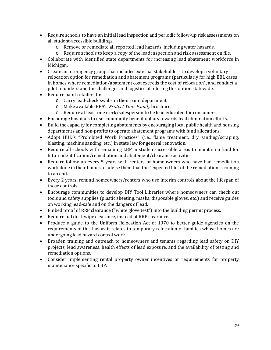- Require schools to have an initial lead inspection and periodic follow-up risk assessments on all student-accessible buildings.
	- o Remove or remediate all reported lead hazards, including water hazards.
	- o Require schools to keep a copy of the lead inspection and risk assessment on file.
- Collaborate with identified state departments for increasing lead abatement workforce in Michigan.
- Create an interagency group that includes external stakeholders to develop a voluntary relocation option for remediation and abatement programs (particularly for high EBL cases in homes where remediation/abatement cost exceeds the cost of relocation), and conduct a pilot to understand the challenges and logistics of offering this option statewide.
- Require paint retailers to:
	- o Carry lead-check swabs in their paint department.
	- o Make available EPA's Protect Your Family brochure.
	- o Require at least one clerk/salesperson to be lead educated for consumers.
- Encourage hospitals to use community benefit dollars towards lead elimination efforts.
- Build the capacity for completing abatements by encouraging local public health and housing departments and non-profits to operate abatement programs with fund allocations.
- Adopt HUD's "Prohibited Work Practices" (i.e., flame treatment, dry sanding/scraping, blasting, machine sanding, etc.) in state law for general renovation.
- Require all schools with remaining LBP in student-accessible areas to maintain a fund for future identification/remediation and abatement/clearance activities.
- Require follow-up every 5 years with renters or homeowners who have had remediation work done in their homes to advise them that the "expected life" of the remediation is coming to an end.
- Every 2 years, remind homeowners/renters who use interim controls about the lifespan of those controls.
- Encourage communities to develop DIY Tool Libraries where homeowners can check out tools and safety supplies (plastic sheeting, masks, disposable gloves, etc.) and receive guides on working lead-safe and on the dangers of lead.
- Embed proof of RRP clearance ("white glove test") into the building permit process.
- Require full dust-wipe clearance, instead of RRP clearance.
- Produce a guide to the Uniform Relocation Act of 1970 to better guide agencies on the requirements of this law as it relates to temporary relocation of families whose homes are undergoing lead hazard control work.
- Broaden training and outreach to homeowners and tenants regarding lead safety on DIY projects, lead awareness, health effects of lead exposure, and the availability of testing and remediation options.
- Consider implementing rental property owner incentives or requirements for property maintenance specific to LBP.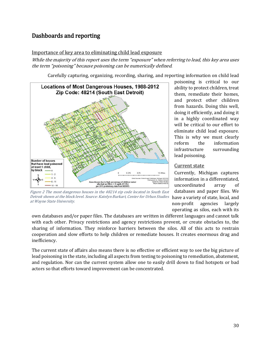# <span id="page-30-0"></span>Dashboards and reporting

#### Importance of key area to eliminating child lead exposure

While the majority of this report uses the term "exposure" when referring to lead, this key area uses the term "poisoning" because poisoning can be numerically defined.

Carefully capturing, organizing, recording, sharing, and reporting information on child lead



Figure 2 The most dangerous houses in the 48214 zip code located in South East Detroit shown at the block level. Source: Katelyn Burkart, Center for Urban Studies at Wayne State University.

poisoning is critical to our ability to protect children, treat them, remediate their homes, and protect other children from hazards. Doing this well, doing it efficiently, and doing it in a highly coordinated way will be critical to our effort to eliminate child lead exposure. This is why we must clearly<br>reform the information information infrastructure surrounding lead poisoning.

#### Current state

Currently, Michigan captures information in a differentiated, uncoordinated array of databases and paper files. We have a variety of state, local, and<br>non-profit agencies largely agencies largely operating as silos, each with its

own databases and/or paper files. The databases are written in different languages and cannot talk with each other. Privacy restrictions and agency restrictions prevent, or create obstacles to, the sharing of information. They reinforce barriers between the silos. All of this acts to restrain cooperation and slow efforts to help children or remediate houses. It creates enormous drag and inefficiency.

The current state of affairs also means there is no effective or efficient way to see the big picture of lead poisoning in the state, including all aspects from testing to poisoning to remediation, abatement, and regulation. Nor can the current system allow one to easily drill down to find hotspots or bad actors so that efforts toward improvement can be concentrated.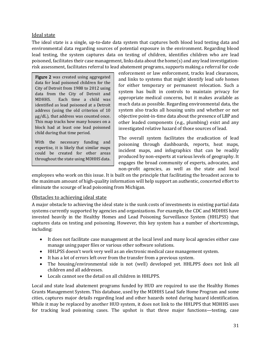#### Ideal state

The ideal state is a single, up-to-date data system that captures both blood lead testing data and environmental data regarding sources of potential exposure in the environment. Regarding blood lead testing, the system captures data on testing of children, identifies children who are lead poisoned, facilitates their case management, links data about the home(s) and any lead investigationrisk assessment, facilitates referral to lead abatement programs, supports making a referral for code

Figure 2 was created using aggregated data for lead poisoned children for the City of Detroit from 1988 to 2012 using data from the City of Detroit and<br>MDHHS. Each time a child was Each time a child was identified as lead poisoned at a Detroit address (using the old criterion of 10 μg/dL), that address was counted once. This map tracks how many houses on a block had at least one lead poisoned child during that time period.

With the necessary funding and expertise, it is likely that similar maps could be created for other areas throughout the state using MDHHS data. enforcement or law enforcement, tracks lead clearances, and links to systems that might identify lead safe homes for either temporary or permanent relocation. Such a system has built in controls to maintain privacy for appropriate medical concerns, but it makes available as much data as possible. Regarding environmental data, the system also tracks all housing units and whether or not objective point-in-time data about the presence of LBP and other leaded components (e.g., plumbing) exist and any investigated relative hazard of those sources of lead.

The overall system facilitates the eradication of lead poisoning through dashboards, reports, heat maps, incident maps, and infographics that can be readily produced by non-experts at various levels of geography. It engages the broad community of experts, advocates, and non-profit agencies, as well as the state and local

employees who work on this issue. It is built on the principle that facilitating the broadest access to the maximum amount of high-quality information will help support an authentic, concerted effort to eliminate the scourge of lead poisoning from Michigan.

#### Obstacles to achieving ideal state

A major obstacle to achieving the ideal state is the sunk costs of investments in existing partial data systems currently supported by agencies and organizations. For example, the CDC and MDHHS have invested heavily in the Healthy Homes and Lead Poisoning Surveillance System (HHLPSS) that captures data on testing and poisoning. However, this key system has a number of shortcomings, including:

- It does not facilitate case management at the local level and many local agencies either case manage using paper files or various other software solutions.
- HHLPSS doesn't work very well as an electronic medical case management system.
- It has a lot of errors left over from the transfer from a previous system.
- The housing/environmental side is not (well) developed yet. HHLPPS does not link all children and all addresses.
- Locals cannot see the detail on all children in HHLPPS.

Local and state lead abatement programs funded by HUD are required to use the Healthy Homes Grants Management System. This database, used by the MDHHS Lead Safe Home Program and some cities, captures major details regarding lead and other hazards noted during hazard identification. While it may be replaced by another HUD system, it does not link to the HHLPPS that MDHHS uses for tracking lead poisoning cases. The upshot is that three major functions—testing, case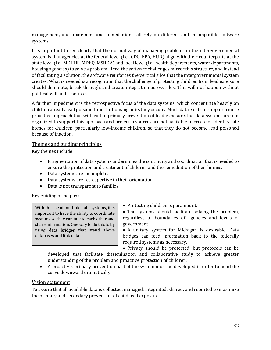management, and abatement and remediation—all rely on different and incompatible software systems.

It is important to see clearly that the normal way of managing problems in the intergovernmental system is that agencies at the federal level (i.e., CDC, EPA, HUD) align with their counterparts at the state level (i.e., MDHHS, MDEQ, MSHDA) and local level (i.e., health departments, water departments, housing agencies) to solve a problem. Here, the software challenges mirror this structure, and instead of facilitating a solution, the software reinforces the vertical silos that the intergovernmental system creates. What is needed is a recognition that the challenge of protecting children from lead exposure should dominate, break through, and create integration across silos. This will not happen without political will and resources.

A further impediment is the retrospective focus of the data systems, which concentrate heavily on children already lead poisoned and the housing units they occupy. Much data exists to support a more proactive approach that will lead to primary prevention of lead exposure, but data systems are not organized to support this approach and project resources are not available to create or identify safe homes for children, particularly low-income children, so that they do not become lead poisoned because of inaction.

#### Themes and guiding principles

Key themes include:

- Fragmentation of data systems undermines the continuity and coordination that is needed to ensure the protection and treatment of children and the remediation of their homes.
- Data systems are incomplete.
- Data systems are retrospective in their orientation.
- Data is not transparent to families.

Key guiding principles:

With the use of multiple data systems, it is important to have the ability to coordinate systems so they can talk to each other and share information. One way to do this is by using data bridges that stand above databases and link data.

- Protecting children is paramount.
- The systems should facilitate solving the problem, regardless of boundaries of agencies and levels of government.
- A unitary system for Michigan is desirable. Data bridges can feed information back to the federally required systems as necessary.

• Privacy should be protected, but protocols can be

developed that facilitate dissemination and collaborative study to achieve greater understanding of the problem and proactive protection of children.

• A proactive, primary prevention part of the system must be developed in order to bend the curve downward dramatically.

#### Vision statement

To assure that all available data is collected, managed, integrated, shared, and reported to maximize the primary and secondary prevention of child lead exposure.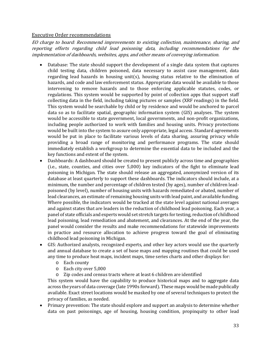#### Executive Order recommendations

EO charge to board: Recommend improvements to existing collection, maintenance, sharing, and reporting efforts regarding child lead poisoning data, including recommendations for the implementation of dashboards, websites, apps, and other means of conveying information.

- Database: The state should support the development of a single data system that captures child testing data, children poisoned, data necessary to assist case management, data regarding lead hazards in housing unit(s), housing status relative to the elimination of hazards, and code and law enforcement status. Appropriate data would be available to those intervening to remove hazards and to those enforcing applicable statutes, codes, or regulations. This system would be supported by point of collection apps that support staff collecting data in the field, including taking pictures or samples (XRF readings) in the field. This system would be searchable by child or by residence and would be anchored to parcel data so as to facilitate spatial, geographic information system (GIS) analyses. The system would be accessible to state government, local governments, and non-profit organizations, including people authorized to work with families and housing units. Privacy protections would be built into the system to assure only appropriate, legal access. Standard agreements would be put in place to facilitate various levels of data sharing, assuring privacy while providing a broad range of monitoring and performance programs. The state should immediately establish a workgroup to determine the essential data to be included and the key functions and extent of the system.
- Dashboards: A dashboard should be created to present publicly across time and geographies (i.e., state, counties, and cities over 5,000) key indicators of the fight to eliminate lead poisoning in Michigan. The state should release an aggregated, anonymized version of its database at least quarterly to support these dashboards. The indicators should include, at a minimum, the number and percentage of children tested (by ages), number of children leadpoisoned (by level), number of housing units with hazards remediated or abated, number of lead clearances, an estimate of remaining housing units with lead paint, and available funding. Where possible, the indicators would be tracked at the state level against national averages and against states that are leaders in the reduction of childhood lead poisoning. Each year, a panel of state officials and experts would set stretch targets for testing, reduction of childhood lead poisoning, lead remediation and abatement, and clearances. At the end of the year, the panel would consider the results and make recommendations for statewide improvements in practice and resource allocation to achieve progress toward the goal of eliminating childhood lead poisoning in Michigan.
- GIS: Authorized analysts, recognized experts, and other key actors would use the quarterly and annual database to create a set of base maps and mapping routines that could be used any time to produce heat maps, incident maps, time series charts and other displays for:
	- o Each county
	- o Each city over 5,000
	- o Zip codes and census tracts where at least 6 children are identified

This system would have the capability to produce historical maps and to aggregate data across the years of data coverage (late 1990s forward). These maps would be made publically available. Exact street locations would be masked by one of several techniques to protect the privacy of families, as needed.

• Primary prevention: The state should explore and support an analysis to determine whether data on past poisonings, age of housing, housing condition, propinquity to other lead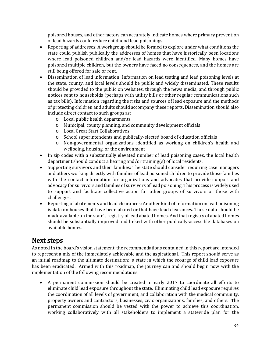poisoned houses, and other factors can accurately indicate homes where primary prevention of lead hazards could reduce childhood lead poisonings.

- Reporting of addresses: A workgroup should be formed to explore under what conditions the state could publish publically the addresses of homes that have historically been locations where lead poisoned children and/or lead hazards were identified. Many homes have poisoned multiple children, but the owners have faced no consequences, and the homes are still being offered for sale or rent.
- Dissemination of lead information: Information on lead testing and lead poisoning levels at the state, county, and local levels should be public and widely disseminated. These results should be provided to the public on websites, through the news media, and through public notices sent to households (perhaps with utility bills or other regular communications such as tax bills). Information regarding the risks and sources of lead exposure and the methods of protecting children and adults should accompany these reports. Dissemination should also include direct contact to such groups as:
	- o Local public health departments
	- o Municipal, county planning, and community development officials
	- o Local Great Start Collaboratives
	- o School superintendents and publically-elected board of education officials
	- o Non-governmental organizations identified as working on children's health and wellbeing, housing, or the environment
- In zip codes with a substantially elevated number of lead poisoning cases, the local health department should conduct a hearing and/or training(s) of local residents.
- Supporting survivors and their families: The state should consider requiring case managers and others working directly with families of lead poisoned children to provide those families with the contact information for organizations and advocates that provide support and advocacy for survivors and families of survivors of lead poisoning. This process is widely used to support and facilitate collective action for other groups of survivors or those with challenges.
- Reporting of abatements and lead clearances: Another kind of information on lead poisoning is data on houses that have been abated or that have lead clearances. These data should be made available on the state's registry of lead abated homes. And that registry of abated homes should be substantially improved and linked with other publically-accessible databases on available homes.

<span id="page-34-0"></span>Next steps<br>As noted in the board's vision statement, the recommendations contained in this report are intended to represent a mix of the immediately achievable and the aspirational. This report should serve as an initial roadmap to the ultimate destination: a state in which the scourge of child lead exposure has been eradicated. Armed with this roadmap, the journey can and should begin now with the implementation of the following recommendations:

• A permanent commission should be created in early 2017 to coordinate all efforts to eliminate child lead exposure throughout the state. Eliminating child lead exposure requires the coordination of all levels of government, and collaboration with the medical community, property owners and contractors, businesses, civic organizations, families, and others. The permanent commission should be vested with the power to achieve this coordination, working collaboratively with all stakeholders to implement a statewide plan for the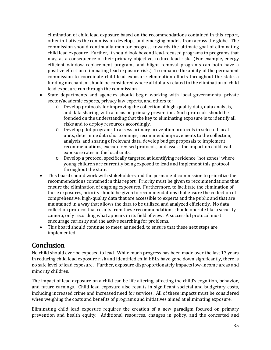elimination of child lead exposure based on the recommendations contained in this report, other initiatives the commission develops, and emerging models from across the globe. The commission should continually monitor progress towards the ultimate goal of eliminating child lead exposure. Further, it should look beyond lead-focused programs to programs that may, as a consequence of their primary objective, reduce lead risk. (For example, energy efficient window replacement programs and blight removal programs can both have a positive effect on eliminating lead exposure risk.) To enhance the ability of the permanent commission to coordinate child lead exposure elimination efforts throughout the state, a funding mechanism should be considered where all dollars related to the elimination of child lead exposure run through the commission.

- State departments and agencies should begin working with local governments, private sector/academic experts, privacy law experts, and others to:
	- o Develop protocols for improving the collection of high-quality data, data analysis, and data sharing, with a focus on primary prevention. Such protocols should be founded on the understanding that the key to eliminating exposure is to identify all risks and to deploy resources accordingly.
	- o Develop pilot programs to assess primary prevention protocols in selected local units, determine data shortcomings, recommend improvements to the collection, analysis, and sharing of relevant data, develop budget proposals to implement recommendations, execute revised protocols, and assess the impact on child lead exposure rates in the local units.
	- o Develop a protocol specifically targeted at identifying residence "hot zones" where young children are currently being exposed to lead and implement this protocol throughout the state.
- This board should work with stakeholders and the permanent commission to prioritize the recommendations contained in this report. Priority must be given to recommendations that ensure the elimination of ongoing exposures. Furthermore, to facilitate the elimination of these exposures, priority should be given to recommendations that ensure the collection of comprehensive, high-quality data that are accessible to experts and the public and that are maintained in a way that allows the data to be utilized and analyzed efficiently. No data collection protocol that results from these recommendations should operate like a security camera, only recording what appears in its field of view. A successful protocol must encourage curiosity and the active searching for problems.
- This board should continue to meet, as needed, to ensure that these next steps are implemented.

<span id="page-35-0"></span>**Conclusion**<br>No child should ever be exposed to lead. While much progress has been made over the last 17 years in reducing child lead exposure risk and identified child EBLs have gone down significantly, there is no safe level of lead exposure. Further, exposure disproportionately impacts low-income areas and minority children.

The impact of lead exposure on a child can be life altering, affecting the child's cognition, behavior, and future earnings. Child lead exposure also results in significant societal and budgetary costs, including increased crime and increased need for services. All of these impacts must be considered when weighing the costs and benefits of programs and initiatives aimed at eliminating exposure.

Eliminating child lead exposure requires the creation of a new paradigm focused on primary prevention and health equity. Additional resources, changes in policy, and the concerted and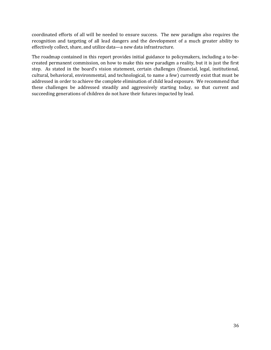coordinated efforts of all will be needed to ensure success. The new paradigm also requires the recognition and targeting of all lead dangers and the development of a much greater ability to effectively collect, share, and utilize data—a new data infrastructure.

The roadmap contained in this report provides initial guidance to policymakers, including a to-becreated permanent commission, on how to make this new paradigm a reality, but it is just the first step. As stated in the board's vision statement, certain challenges (financial, legal, institutional, cultural, behavioral, environmental, and technological, to name a few) currently exist that must be addressed in order to achieve the complete elimination of child lead exposure. We recommend that these challenges be addressed steadily and aggressively starting today, so that current and succeeding generations of children do not have their futures impacted by lead.